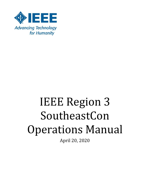

# IEEE Region 3 SoutheastCon Operations Manual

April 20, 2020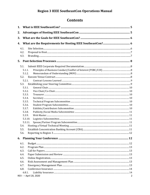# Contents

| 1.   |                        |   |
|------|------------------------|---|
| 2.   |                        |   |
| 3.   |                        |   |
| 4.   |                        |   |
| 4.1. |                        |   |
| 4.2. |                        |   |
| 4.3. |                        |   |
| 5.   |                        |   |
| 5.1. |                        |   |
|      | 5.1.1.                 |   |
|      | 5.1.2.                 |   |
| 5.2. |                        |   |
|      | 5.2.1.                 |   |
|      |                        |   |
|      | 5.3.1.                 |   |
|      | 5.3.2.                 |   |
|      | 5.3.3.                 |   |
|      | 5.3.4.                 |   |
|      | 5.3.5.                 |   |
|      | 5.3.6.                 |   |
|      | 5.3.7.                 |   |
|      | 5.3.8.                 |   |
|      | 5.3.9.                 |   |
|      | 5.3.10.<br>5.3.11.     |   |
| 5.4. |                        |   |
| 5.5. |                        |   |
| 5.6. |                        |   |
|      |                        |   |
|      |                        |   |
| 6.1. |                        |   |
| 6.2. |                        |   |
| 6.3. |                        |   |
| 6.4. |                        |   |
| 6.5. |                        |   |
| 6.6. |                        |   |
| 6.7. |                        |   |
| 6.8. |                        |   |
|      | 6.8.1.                 |   |
|      | REV - - April 20, 2020 | 2 |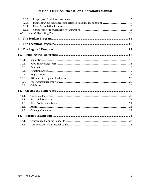| 6.8.2.     |  |  |
|------------|--|--|
| 6.8.3.     |  |  |
| 6.8.4.     |  |  |
| 6.8.5.     |  |  |
| 6.9.       |  |  |
| 7.         |  |  |
| 8.         |  |  |
| 9.         |  |  |
| 10.        |  |  |
| 10.1.      |  |  |
| 10.2.      |  |  |
| 10.3.      |  |  |
| 10.4.      |  |  |
| 10.5.      |  |  |
| 10.6.      |  |  |
| 10.7.      |  |  |
| 10.8.      |  |  |
| 11.        |  |  |
| 11.1.      |  |  |
| 11.2.      |  |  |
| 11.3.      |  |  |
| 11.4.      |  |  |
| 11.5.      |  |  |
| <b>12.</b> |  |  |
| 12.1       |  |  |
| 12.2.      |  |  |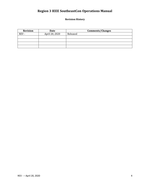**Revision History** 

| <b>Revision</b> | Date           | <b>Comments/Changes</b> |
|-----------------|----------------|-------------------------|
| REV -           | April 20, 2020 | Released                |
|                 |                |                         |
|                 |                |                         |
|                 |                |                         |
|                 |                |                         |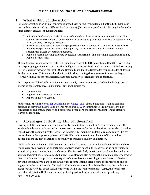# <span id="page-4-0"></span>1. What is IEEE SoutheastCon?

IEEE SoutheastCon is an annual conference hosted each spring within Region 3 of the IEEE. Each year the conference is hosted by a different local host entity (Section, Area, or Council). During SoutheastCon three distinct concurrent events are held:

- 1) A Student Conference attended by most of the technical Universities within the Region. The student conference includes several competitions including: Hardware, Software, Presentations, Ethics, Poster, T-Shirt, and Website.
- 2) A Technical Conference attended by people from all over the world. The technical conference includes the presentation of refereed papers by the authors and may also include poster sessions for papers accepted as abstracts.
- 3) Region 3 Annual Meeting attended by Region 3 leadership. This meeting is planned and run by Region 3 leadership.

The conference is co-sponsored by IEEE Region 3 and a local IEEE Organizational Unit (OU) with half of the surplus going to Region 3 and the other half going to the local OU. A Memorandum of Understanding (MOU) is written between the local OU and Region 3 such that the Region 3 is responsible for all losses for the conference. This means that the financial risk of running the conference is upon the Region. However, this also means that Region 3 has administrative oversight of the conference.

As a cosponsor of the Conference, Region 3 will supply resources necessary to handle the logistics of operating the Conference. This includes, but is not limited to:

- Site Selection
- Registration System and Supplies
- Paper Submission System

Additionally, th[e IEEE Center for Leadership Excellence \(CLE\)](https://ieee-elearning.org/CLE/index.php?redirect=0) offers a 'one stop' training solution designed to serve the multiple and diverse range of IEEE user communities. From volunteers, nonvolunteers to students, members, and conference organizers, the site offers a simpler and effective learning experience.

# <span id="page-4-1"></span>2. Advantages of Hosting IEEE SoutheastCon

Hosting an IEEE SoutheastCon is an opportunity for a Section, Council, or Area, in conjunction with a local student branch (or branches) to generate extra revenue for the local entities and student branches while having the opportunity to network with other IEEE members and the local community. It gives the local entity the opportunity to run a US\$100K+ conference without the fear of financial loss or burden and the student branch the opportunity to manage a student competition.

REV - – April 20, 2020 5 IEEE SoutheastCon benefits IEEE Members in the local section, region, and worldwide. IEEE members world-wide are provided the opportunity to network with peers in IEEE, as well as an opportunity to attend and present at a technical conference. This is particularly beneficial to local members, who can attend a technical conference close to home. The conference also engages the local members by allowing them to volunteer to support various aspects of the conference according to their interests. Students have the opportunity to participate in the student competitions, attend some of the meetings, and to engage with the professionals. Through local announcements and social media posts, the conference increases the visibility of the IEEE membership within the local community. Lastly, the conference provides value to the IEEE membership by offering reduced rates to members and providing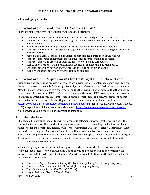volunteering opportunities.

# <span id="page-5-0"></span>3. What are the Goals for IEEE SoutheastCon?

There are many goals that IEEE SoutheastCon hopes to accomplish.

- Member Continuing Education through the presentation of papers, posters, and tutorials.
- Membership Growth opportunities through the inclusion of non-members in the conference and differential fees.
- Volunteer Education through Region 3 meeting and volunteer education programs.
- Local Section Vitalization through the engagement of volunteers in the planning and execution of the conference.
- Region 3 and Local Organization financial support through distribution of the surplus.
- Student Membership engagement through the student competition and programs.
- Student Membership growth through student networking and competition.
- IEEE Affinity Groups (Young Professionals, Women in Engineering, Life Members, ...) engagement through networking and professional tutorial and workshops
- Industry engagement through contributions and exhibits

# <span id="page-5-1"></span>4. What are the Requirements for Hosting IEEE SoutheastCon?

Prior to starting the hosting process, you must confirm with Region 3 Conference Committee Chair that the year of interest is available for hosting. Generally, the conference is awarded 3-5 years in advance. Also, it is highly recommended that the material on the IEEE website be reviewed so that the rules and requirements for hosting an IEEE conference are clearly understood. IEEE provides a host of resources to assist IEEE Organizational Units interested in hosting conferences. It is highly recommended that prospective Sections interested in hosting a conference to review information available at [https://www.ieee.org/conferences/organizers/organizers-index.html.](https://www.ieee.org/conferences/organizers/organizers-index.html) IEEE Meetings, Conferences, & Events (MCE) also provides additional resources and webinars [\(https://ieeetv.ieee.org/event-showcase/events\)](https://ieeetv.ieee.org/event-showcase/events) which provide valuable information to conference organizers.

### <span id="page-5-2"></span>4.1. Site Selection

The Region 3 Conference Committee will perform a site selection survey at least 3 years prior to the start of the Conference. If no local entities have volunteered to host, then Region 3 will research and select sites for the Conference. Region 3 Conference Committee will survey at least 3 locations to host the Conference. Region 3 Conference Committee will research local hotels and conference venues capable of hosting the Conference and will ultimately create a proposal to host the conference to Region 3 Committee. Having Region 3 Committee handle this process will ensure that we select properties capable of hosting the Conference.

 A local entity may express interest in hosting and provide recommended locations that meet the following requirements; however, the ultimate site survey and selection will be performed by the Region. As of 2017 in order to host a SoutheastCon with at least 800 attendees the hotel should meet the following specifications:

- Conference Days: Thursday Sunday (Friday Sunday during Section Congress years)
- Conference Dates: Mid-March to Mid-April (Excluding Holy Week)
- Total Conference Space:  $25,000$  ft<sup>2</sup> (2,325 m<sup>2</sup>)
- Largest Ballroom Size:  $10,000$  ft<sup>2</sup> (930 m<sup>2</sup>)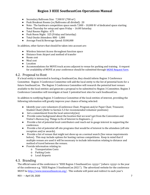- Secondary Ballroom Size:  $7,500$  ft<sup>2</sup> (700 m<sup>2</sup>)
- Peak Breakout Rooms (w/Ballrooms all divided): 20
- Note: The hardware competition space needs  $7,000 10,000$  ft<sup>2</sup> of dedicated space starting Noon Thursday for setup and open Friday – 16:00 Saturday.
- Total Rooms Nights: 675
- Peak Room Night: 325 (Friday and Saturday)
- Total Onsite Attendees: 800 1,000
- Average Food & Beverage Spend: \$100,000

In addition, other factors that should be taken into account are:

- Wireless Internet Access throughout function space
- Distance from Airport and method of transfer
- Room cost
- Meal cost
- Location
- Accommodations for MOVE truck access adjacent to venue for parking and training. A request for availability of MOVE at your conference should be submitted through [MOVE Request Form.](https://move.ieeeusa.org/move-request-form/)

### <span id="page-6-0"></span>4.2. Proposal to Host

If a local entity is interested in hosting a SoutheastCon, they should inform Region 3 Conference Committee. Region 3 Conference Committee will add the local entity to the list of potential hosts for a future SoutheastCon. The Region 3 Conference Committee will research the potential host venues available to the local entities and generate a proposal to be submitted to Region 3 Committee. Region 3 Conference Committee will investigate at least 3 potential host sites for each SoutheastCon.

In addition to notifying Region 3 Conference Committee of the local entities of interest, providing the following information will greatly improve your chance of being selected:

- Identify your core volunteers (Conference Chair, Program and/or Paper Chair, Treasurer, Student Chair) (Refer to Section 5.3 for recommended volunteer positions)
- Get a commitment from the local university(ies)
- Provide some background about the location that we won't get from the Convention and Visitor's Bureau (e.g. Things to Do of Interest to Engineers...)
- Provide a list of potential local contributors and reach out to gauge interest in supporting the conference.
- Provide a list of potential off-site programs that would be of interest to the attendees (off-site reception and/or awards).
- Provide a list of venues that might not show up on a normal search (See venue requirements below). This may include options for hosting various competitions. Keep in mind that if multiple venues are used it will be necessary to include information relating to distance and method of travel between the venues.
- Provide information relating to:
	- o Transportation Costs
	- o Parking Costs
	- o Local Airports

### <span id="page-6-1"></span>4.3. Branding

The official name of the conference is "IEEE Region 3 SoutheastCon <yyyy>" (where <yyyy> is the year of the conference e.g. "IEEE Region 3 SoutheastCon 2021"). The advertised website for the conference MUST b[e http://www.ieeesoutheastcon.org/](http://www.ieeesoutheastcon.org/). This website will point and redirect to each year's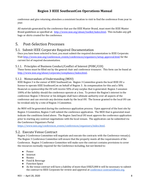conference and give returning attendees a consistent location to visit to find the conference from year to year.

All materials generated by the conference that use the IEEE Master Brand, must meet the IEEE Master Brand guidelines as specified at: [http://www.ieee.org/about/toolkit/index.html.](http://www.ieee.org/about/toolkit/index.html) This includes any gift bags or shirts created for the conference.

# <span id="page-7-0"></span>5. Post-Selection Processes

# <span id="page-7-1"></span>5.1. Submit IEEE Corporate Required Documentation

Once you have been selected to host, you must submit the required documentation to IEEE Corporate. Visi[t http://www.ieee.org/conferences\\_events/conferences/organizers/setup\\_approval.html](http://www.ieee.org/conferences_events/conferences/organizers/setup_approval.html) for the current list of required documentation.

<span id="page-7-2"></span>5.1.1. Principles of Business Conduct/Conflict of Interest (POBC/COI)

These forms must be filled out by the general chair and conference treasurer. This form can be found at: [http://www.ieee.org/about/corporate/compliance/index.html.](http://www.ieee.org/about/corporate/compliance/index.html) 

### <span id="page-7-3"></span>5.1.2. Memorandum of Understanding (MOU)

IEEE Region 3 is the owner of IEEE SoutheastCon. Region 3 Committee grants the local IEEE OU a license to operate IEEE SoutheastCon on behalf of Region 3. As compensation for this and a 50% financial co-sponsorship the OU will receive 50% of any surplus that is generated. Region 3 assumes 100% of the liability should the conference operate at a loss. To protect the Region's interest in the conference Region 3 Director or his delegate shall have ultimate authority over all aspects of the conference and can overrule any decision made by the local OU. The license granted to the local OU can be revoked only by a vote of Region 3 Committee.

An MOU will be generated during the conference application process. Upon approval of the host site by Region 3 Committee, Region 3 will submit the conference application. The MOU that is generated must indicate the conditions listed above. The Region 3and local OU must approve the conference application prior to starting any contract negotiations with the local venues. The application can be submitted via the Conference Organizers Portal

[https://www.ieee.org/conferences\\_events/conferences/organizers/index.html.](https://www.ieee.org/conferences_events/conferences/organizers/index.html)

# <span id="page-7-4"></span>5.2. Execute Venue Contract

Region 3 Conference Committee will negotiate and execute the contracts with the Conference venue(s). The Region 3 Conference Committee will ensure that the property meets all the requirements of the Conference. Region 3 Conference Committee will make sure the contract contains provisions to cover the resources normally required for the Conference including, but not limited to:

- Power
- Internet
- Rooms
- Food & Beverage
- Function Space
- As the venue contract will have a liability of more than US\$25,000 it will be necessary to submit the contract to IEEE Corporate for review and approval at conference-contracts@ieee.org.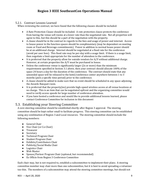### <span id="page-8-0"></span>5.2.1. Contract Lessons Learned

When reviewing the contract, we have found that the following clauses should be included:

- A Rate Protection Clause should be included. A rate protection clause protects the conference from having the venue sell rooms at a lower rate than the negotiated rate. Not all properties will agree to this, but this should be a part of the negotiation with the property.
- A clause should be in the contract in regards to the fees and usage of power and internet. Access to house power in the function spaces should be complimentary (may be dependent on meeting room or Food and Beverage commitments). Power in addition to normal house power should be at an additional charge. Internet should be negotiated at a fixed rate for the conference (avoid per user fees). This fixed rate may be per-day with a usage limit. If there is a usage limit, then negotiate a limit appropriate for the number of attendees to the conference.
- It is preferred that the property allow for outside vendors for A/V without additional charge. However, at certain properties the A/V must be purchased in house.
- Unless the conference venue is significantly larger (2x or more) than the minimum requirements specified in Section 3.1 above, then your contract should allocate 100% of the space 24 hours a day for the duration of the conference. The contract should state that any unneeded space will be released to the hotel/conference center anywhere between 1 to 3 months (pick a specific time period) prior to the conference.
- A clause should be added to make sure that no event should be scheduled in any space adjoining the Awards Banquet room.
- It is preferred that the property(ies) provide high-speed wireless access at all venue locations at no charge. This is an item that can be negotiated upfront and the organizing committee would need to verify access speeds for large number of conference attendees.
- If you have hosted a conference and would like to provide additional lessons learned, please contact Conference Committee for inclusion in this document

### <span id="page-8-1"></span>5.3. Establishing your Steering Committee

A core steering committee should be established shortly after Region 3 approval. The steering committee should be kept rather small to facilitate progress. This steering committee can be established using any combination of Region 3 and Local resources. The steering committee should include the following members:

- General Chair
- Vice Chair (or Co-Chair)
- Treasurer
- Secretary
- Technical Program Chair
- Student Program Chair
- Exhibits/Contributors Chair
- Publicity/Social Media Chair
- Logistics Chair
- Web Master
- Spouse/Partner Program Chair (optional, but recommended)
- Ex Officio from Region 3 Conference Committee

Each chair may, but is not required to, establish a subcommittee to implement their plans. A steering committee member may chair more than one subcommittee, but it is best to avoid spreading a volunteer too thin. The members of a subcommittee may attend the steering committee meetings, but should not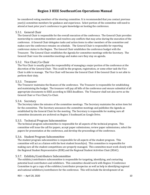be considered voting members of the steering committee. It is recommended that you contact previous year(s) committee members for guidance and experience. Select portion of the committee will need to attend at least prior year's conference to gain knowledge on hosting the conference.

#### <span id="page-9-0"></span>5.3.1. General Chair

The General Chair is responsible for the overall execution of the conference. The General Chair provides mentorship to committee members and resolves any conflicts that may arise during the execution of the conference. A General Chair delegates tasks and action items to other members of the committee and makes sure the conference remains on schedule. The General Chair is responsible for reporting conference status to the Region. The General Chair establishes the conference budget with the Treasurer. The General Chair establishes the Agenda for committee meetings with the Secretary. The General Chair runs the committee meetings and makes sure they stay on agenda.

#### <span id="page-9-1"></span>5.3.2. Vice Chair/Co-Chair

The Vice Chair is usually given the responsibility of managing a major portion of the conference at the discretion of the General Chair. This could be the program, registration, or some other task the Vice Chair is able to manage. The Vice Chair will become the General Chair if the General Chair is not able to perform their duty.

#### <span id="page-9-2"></span>5.3.3. Treasurer

The Treasurer maintains the finances of the conference. The Treasurer is responsible for establishing and maintaining the budget. The treasurer will pay all bills of the conference and ensure submittal of all appropriate documents to IEEE according to IEEE deadlines. The Treasurer shall not also serve as the General Chair or Vice Chair/Co-Chair.

#### <span id="page-9-3"></span>5.3.4. Secretary

The Secretary takes the minutes of the committee meetings. The Secretary maintains the action item list for the committee. The Secretary announces the committee meetings and publishes the Agenda as established by the General Chair for the meeting. The Secretary is responsible for making sure all committee documents are archived on Region 3 SoutheastCon Google Drive.

#### <span id="page-9-4"></span>5.3.5. Technical Program Subcommittee

The technical program subcommittee is responsible for all aspects of the technical program. This committee will issue the call for papers, accept paper submissions, review paper submissions, select the papers for presentation at the conference, and develop the proceedings of the conference.

### <span id="page-9-5"></span>5.3.6. Student Program Subcommittee

The student program subcommittee is responsible for all aspects of the student program. This committee will act as a liaison with the host student branch(es). This committee is responsible for making sure all the student competitions are properly managed. This committee must work closely with the Regional Student Representative (RSR) and the Regional Student Activities Chair (RSAC).

#### <span id="page-9-6"></span>5.3.7. Exhibits/Contributors Subcommittee

The exhibits/contributors subcommittee is responsible for targeting, identifying, and contacting potential local contributors and exhibitors. This committee should work with Region 3 Conference Committee to get a copy of the exhibitor/contributor prospectus as well as help in identifying regional and national exhibitors/contributors for the conference. This will include the development of an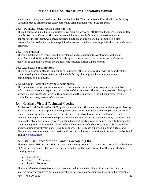advertising strategy and marketing plan, see Section 5.8. This committee will work with the Publicity Subcommittee to acknowledge contributors and sell advertisements in the program.

### <span id="page-10-0"></span>5.3.8. Publicity/Social Media Subcommittee

The publicity/social media subcommittee is responsible for work with Region 3 Conference Committee to publicize the conference. This committee will be responsible for placing advertisements in appropriate media (print, web, etc.) as specified in the marketing plan. This committee is also responsible for producing conference publications other than the proceedings, including the conference program.

### <span id="page-10-1"></span>5.3.9. Web Master

The web master will be responsible for developing and maintaining the conferences website in accordance with IEEE guidelines and provide up to date information with respect to conferences activities to communicate with the authors, students, and Region 3 participants.

### <span id="page-10-2"></span>5.3.10. Logistics Subcommittee

The logistic subcommittee is responsible for supporting the conference chair with all aspects of the conference logistics. These activities will include facility planning, meal planning, volunteer coordination, as a minimum.

### <span id="page-10-3"></span>5.3.11.Spouse/Partner Program Subcommittee

The spouse/partner program subcommittee is responsible for developing programs and supplying information for the spouse/partner and children of the attendees. This subcommittee will identify local attractions and events of interest to the attendees and their partners. This subcommittee may be chaired by a spouse/partner of a member.

### <span id="page-10-4"></span>5.4. Hosting a Virtual Technical Meeting

As observed with SoutheastCon 2020, global pandemic and other events may pose challenges to hosting a SoutheastCon. This disruption in hosting the Region 3 meetings and student competitions, actually enabled exploring and hosting a successful virtual technical conference where authors were able to present their papers and continue to provide a venue for authors to get the opportunity to successfully publish their technical area of research. Virtual technical meetings can be hosted using IEEE supported conferencing tools such as WebEx Events which allow conduct of webinars with up to 3000 attendees and streaming capability for up to 40,000 attendees. IEEE MCE has expertise in online, virtual, and digital event mediums and can also assist with hosting such events. Additional information can be found at [IEEE Virtual Events.](https://www.ieee.org/content/dam/ieee-org/ieee/web/org/conferences/virtual-events-overview.pptx) 

# <span id="page-10-5"></span>5.5. Establish Concentration Banking Account (CBA)

The conference MUST use an IEEE concentration banking account. Region 3 Treasurer will establish the CBA for the Conference. The following people must be on the signature card for the concentration banking account:

- General Chair
- Conference Treasurer
- Region 3 Treasurer

REV - – April 20, 2020 11 All funds related to the conference must be deposited into and distributed from the CBA. It is not allowed for any expenses to be paid directly by conference volunteers unless they submit a request for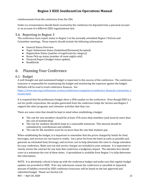reimbursement from the conference from the CBA.

Under no circumstances should funds received by the conference be deposited into a personal account or an account of a different IEEE organizational unit.

# <span id="page-11-0"></span>5.6. Reporting to Region 3

The conference must report status to Region 3 at the normally scheduled Region 3 ExCom and Committee meetings. These reports should include the following information:

- General Status Overview
- Paper Submission Status (Submitted/Reviewed/Accepted)
- Registration Status (number of registrants by category)
- Room Pick-up status (number of room-nights sold)
- Financial Report (budget status update)
- Roadblocks

# <span id="page-11-1"></span>6. Planning Your Conference

### <span id="page-11-2"></span>6.1. Budget

A well thought-out and maintained budget is important to the success of the conference. The conference treasurer is responsible for maintaining the budget and monitoring the expenses against the budget. NetSuite will be used to track conference finances. See

[https://www.ieee.org/conferences\\_events/conferences/organizers/conference\\_financial\\_transaction\\_n](https://www.ieee.org/conferences_events/conferences/organizers/conference_financial_transaction_netsuite.html) [etsuite.html.](https://www.ieee.org/conferences_events/conferences/organizers/conference_financial_transaction_netsuite.html) 

It is required that the preliminary budget show a 20% surplus on the conference. Even though IEEE is a not-for-profit corporation, the surplus generated from the conference helps the Section and Region 3 support the other programs and volunteer activities that they run.

There are some rules that should be kept in mind when establishing a budget:

- The rate for non-members should be at least 15% more than members (and must be more than the cost of membership)
- The rate for students should be kept to a reasonable minimum. This amount should be subsidized by contributions and exhibits.
- The rate for life members must be no more than the rate that students pay.

When establishing the budget, it is important to remember that the prices charged by hotels for food, beverages, and services are not based in reality. Get a price list from the hotel as early as possible and generate an estimated food, beverage, and services cost to help determine the rates to charge attendees for your conference. Make sure tax and service charges are included in your estimate. It is important to closely review the contract for any item that could have a budgetary impact. The attendee fees should cover at a minimum the cost of these items. A spreadsheet is available from Region 3 to help determine this information.

REV - – April 20, 2020 12 NOTE: It is absolutely critical to keep up with the conference budget and make sure that regular budget updates are provided to IEEE. If for any unforeseen reason the conference is cancelled or impacted, amount of liability covered by IEEE conference insurance will be based on the last approved and submitted budget. Please see Section [6.8.](#page-13-0)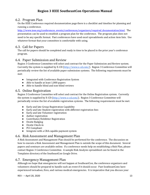### <span id="page-12-0"></span>6.2. Program Plan

On the IEEE Conference required documentation page there is a checklist and timeline for planning and running a conference.

[http://www.ieee.org/conferences\\_events/conferences/organizers/required\\_documentation.html.](http://www.ieee.org/conferences_events/conferences/organizers/required_documentation.html) The presentation can be used to establish a program plan for the conference. The program plan does not need to be any specific format. Past conferences have used excel spreadsheets and action item lists. Use whatever format that your committee is comfortable with using.

### <span id="page-12-1"></span>6.3. Call for Papers

The call for papers should be completed and ready in time to be placed in the prior year's conference program.

### <span id="page-12-2"></span>6.4. Paper Submission and Review

Region 3 Conference Committee will select and contract for the Paper Submission and Review system. Currently the system is supplied by X-CD [\(http://www.x-cd.com/\)](http://www.x-cd.com/). Region 3 Conference Committee will periodically review the list of available paper submission systems. The following requirements must be met:

- Integrated with Conference Registration System
- Able to handle at least 1,000 papers
- Able to handle blind and non-blind reviews

### <span id="page-12-3"></span>6.5. Online Registration

Region 3 Conference Committee will select and contract for the Online Registration system. Currently the system is supplied by X-CD [\(http://www.x-cd.com/\)](http://www.x-cd.com/). Region 3 Conference Committee will periodically review the list of available registration systems. The following requirements must be met:

- Early and late Group Registration Capability
- Early and late Student registration with different registration fees
- Early and late Volunteer registration
- Author registration
- Contributor/Exhibitor Registration
- Onsite Badging
- Onsite Check-in
- PCI Compliant
- Integrate with a CBA capable payment system

### <span id="page-12-4"></span>6.6. Risk Assessment and Management Plan

A Risk Assessment and Management Plan should be performed for the conference. The discussion on how to execute a Risk Assessment and Management Plan is outside the scope of this document. Several papers and seminars are available online. If a conference needs help on establishing a Risk Plan, please contact Region 3 Conference Committee. A sample Risk Analysis spreadsheet can be found in the Templates directory of the SoutheastCon Google Drive.

### <span id="page-12-5"></span>6.7. Emergency Management Plan

Although we hope that emergencies will not happen at SoutheastCon, the conference organizers and volunteers should be prepared to handle such an event if it should occur. Past SoutheastCons have experienced tornadoes, fires, and various medical emergencies. It is imperative that you discuss your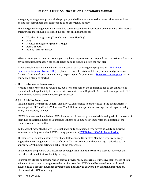emergency management plan with the property and tailor your rules to the venue. Most venues have on-site first responders that can respond to an emergency quickly.

The Emergency Management Plan should be communicated to all SoutheastCon volunteers. The types of emergencies that should be covered include, but are not limited to:

- Weather Emergencies (Tornado, Hurricane, Flooding)
- Fire
- Medical Emergencies (Minor & Major)
- Active Shooter
- Bomb/Terrorist Threat

When an emergency situation occurs, you may have only moments to respond, and the actions taken can have a significant impact on the event. Having a solid plan in place is the first step.

A well thought out and detailed plan is an essential part of emergency preparation. **IEEE's Event** [Emergency Response Team \(EERT\),](mailto:eert@ieee.org) is pleased to provide this template for your use and provides a framework for developing an emergency response plan for your event. [Download the template](http://r20.rs6.net/tn.jsp?f=001KSXFhHUbL-UcV__8OWudUhyI8KiLvb12SmfN_NIzDHqGLw5jtFzoD8GXG82oGgM-lf9f14SQ-TNVLDVnHKKtJhNQsAkkyTHJFtaMqkpIToYiTas6f2AVljayNOfIytOrKkVIF0GWEcrygIPdWWwJRNJ9sxtvzp4bJULRvaDvcxA7sJUWWJDTt2DM1Wcr-XkRmMu-0ceRT0uZfWLlITmrN_vv73CleSPXHkWBOrtrBrQt97ci_IUi2y4UAJZQnDwx6MEWN08Db8XAfLs_PBgFbMiglCdxFPy7&c=AWI4gOc2silF5NO8geMymcUovodtYgLsk90I1wwSjNaRU255s-bftQ==&ch=C8FhInS3C3o6XmR6MWW9U9W8GkLicvdQfUM0VibnNLuo9YJDSGfwaw==) and get your action planning started!

### <span id="page-13-0"></span>6.8. Conference Insurance

Hosting a conference can be rewarding, but if for some reason the conference has to get cancelled, it could also be a huge liability to the organizing committee and Region 3. As a result, any approved IEEE conference is covered by the following insurances:

### <span id="page-13-1"></span>6.8.1. Liability Insurance

IEEE maintains Commercial General Liability (CGL) insurance to protect IEEE in the event a claim is made against IEEE and/or its Volunteers. The CGL insurance provides coverage for third-party bodily injury and property damage.

IEEE Volunteers are included on IEEE's insurance policies and protected while acting within the scope of their duly authorized duties as Conference Officers or Committee Members for the duration of the conference and its activities.

To the extent permitted by law, IEEE shall indemnify each person who serves as a duly authorized Volunteer of a duly authorized IEEE activity pursuant t[o IEEE Bylaw I-300.3 Indemnification](https://www.ieee.org/content/dam/ieee-org/ieee/web/org/ieee-constitution-and-bylaws.pdf) .

The Conference must maintain a record of all Officers and Committee Members who are actively engaged in the management of the conference. This record ensures that coverage is afforded to the appropriate Volunteers acting on behalf of the conference.

In addition to the primary CGL insurance coverage, IEEE maintains Umbrella Liability coverage that provides additional limits of liability coverage.

Conferences utilizing a transportation service provider (e.g. Boat cruise, Bus tour, other) should obtain evidence of insurance coverage from the service provider. IEEE should be named as an additional insured. IEEE's liability insurance coverage does not apply to charters. For additional information, please contact ORIMS@ieee.org.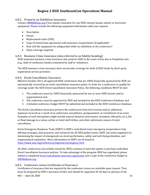### <span id="page-14-0"></span>6.8.2. Property on Exhibition Insurance

Contac[t ORIMS@ieee.org](mailto::ORIMS@ieee.org) if you require insurance for any IEEE-owned, leased, rented, or borrowed equipment. Please include the following equipment information with your request:

- Description
- Owner
- Replacement value (US\$)
- Copy of rental/lease agreement with insurance requirements (if applicable)
- How will the equipment be safeguarded while on exhibition at the conference?
- Dates coverage required

### <span id="page-14-1"></span>6.8.3. Business Crime Insurance (also referred to as fidelity bonding)

IEEE maintains business crime insurance that protects IEEE in the event of loss due to fraudulent acts (e.g., theft of conference funds) committed by staff or volunteers.

The IEEE business crime insurance does not provide coverage for theft of IEEE funds by third-party registration service providers.

### <span id="page-14-2"></span>6.8.4. Event Cancellation Insurance

Effective October 2013, all approved IEEE conferences that are 100% financially sponsored by IEEE are automatically covered by an event cancellation insurance policy. In order for a conference to qualify for coverage under the IEEE Event Cancellation Insurance Policy, the following conditions MUST be met:

- 1. The conference must be 100% financially sponsored by one or more IEEE Society and/or organizational unit,
- 2. The conference must be approved by IEEE and included in the IEEE Conference Database, and
- 3. A detailed conference budget MUST be submitted and included in the IEEE Conference Database.

The Event Cancellation Insurance protects the conferences from lost revenue and/or additional expenses incurred as a result of an unforeseen cancellation, postponement, or curtailment of an event. Examples of such disruptions might include natural disasters (hurricanes, tornadoes, blizzards, etc.), fire or flood damage to a venue, airline or hotel staff strikes, and other unforeseen causes of event cancellation.

Event Emergency Response Team (EERT) is IEEE's centralized event emergency preparedness hub, offering strategies, best practices, and resources for all IEEE global events. EERT can assist organizers in minimizing the impact of emergencies on event performance, safety and well-being attendees, and organizational reputation. More information on EERT can be found at [https://www.ieee.org/conferences/organizers/emergency.html.](https://www.ieee.org/conferences/organizers/emergency.html)

All other conferences (not wholly owned by IEEE) continue to have the option to purchase individual Event Cancellation Insurance policies. To take advantage of the program IEEE has negotiated, please submit a completed **Event Cancellation Insurance application** and a copy of the conference budget to [ORIMS@ieee.org.](file:///C:/Users/egrigorian3/AppData/Local/Microsoft/Windows/INetCache/Content.Outlook/20BQ99A0/ORIMS@ieee.org) 

### <span id="page-14-3"></span>6.8.5. Conference venue Certificates of Insurance

REV - – April 20, 2020 15 Certificates of insurance that are required by the conference venue are available upon request. They must be prepared by IEEE's insurance broker and should be requested 30-60 days in advance of the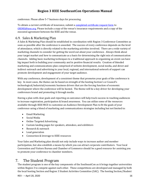conference. Please allow 5-7 business days for processing.

To obtain a current certificate of insurance, submit [a completed certificate request form](https://www.ieee.org/content/dam/ieee-org/ieee/web/org/voluntr/risk-insurance/request_cert_insurance.doc) to [ORIMS@ieee.org.](file:///C:/Users/egrigorian3/AppData/Local/Microsoft/Windows/INetCache/Content.Outlook/20BQ99A0/ORIMS@ieee.org) Please include a copy of the venue's insurance requirements and a copy of the executed agreement between the IEEE and the venue.

### <span id="page-15-0"></span>6.9. Sales & Marketing Plan

A Sales & Marketing Plan should be established in coordination with Region 3 Conference Committee as soon as possible after the conference is awarded. The success of every conference depends on the level of attendance, which is directly related to the marketing activities involved. There are a wide variety of marketing channels to consider for getting the word out about your conference. Always think about your target market and how to communicate as a basis for determining the right mix of communication channels. Adding basic marketing techniques to a traditional approach to organizing an event can have big impact both in building your community and in positive financial results. Creation of blended marketing and communications plan comprised of website development, social media, and direct and indirect outreach and advertising to your local, regional, and international network of support can promote development and engagement of your target audience.

With any conference, development of a consistent theme that promotes your goals of the conference is key. In most cases, the theme can be based on strength of the hosting Section's or Council's technological/industrial/economic business drivers that are the forcing function of economic development where the conference will be hosted. The theme will be a key driver for developing your conferences brand and promoting it through media.

Having a plan with clear goals and reporting on outcomes will help track success in reaching audiences to increase registration, participation & brand awareness. You can utilize some of the resources available through IEEE MCE to customize an Audience Development Plan to fit the goals of your conference using a blend of marketing and communications strategies including but not limited to:

- Email Marketing
- Social Media
- Online Targeted Advertising
- Custom landing pages for speakers, attendees, and exhibitors
- Research & outreach
- Lead generation
- Connection & leverage to IEEE resources

Your Sales and Marketing plan should not only include ways to increase author and member participation, but also establish a means by which you can attract corporate contributors. Your local Convention and Visitors Bureau and Chamber of Commerce should be a good resource for assisting you to promote your conference to chamber members.

### <span id="page-15-1"></span>7. The Student Program

The student program is one of the key components of the SoutheastCon as it brings together universities within Region 3 to compete against each other. These competitions are developed and managed by both the local hosting Section and Region 3 Student Activities Committee (SAC). The hosting Section/Student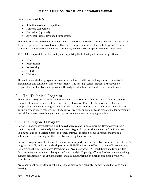branch is responsible for:

- Robotics hardware competition
- Software competition
- Hackathon (optional)
- Any other locally developed competition

The robotics hardware competition will need to publish its hardware competition rules during the last day of the previous year's conference. Hardware competition rules will need to be provided to the Conference Committee for review and comments/feedback 30-days prior to release of the rules.

SAC will be responsible for developing and organizing the following minimum competitions:

- Ethics
- Presentation
- Networking
- T-Shirt
- Web site

The conference student program subcommittee will work with SAC and logistic subcommittee in organization and conduct of these competitions. The hosting Section/Student Branch will be responsible for identifying and providing the judges and volunteers for all of the competitions.

# <span id="page-16-0"></span>8. The Technical Program

The technical program is another key component of the SoutheastCon, and in actuality the primary component for any surplus that the conference will realize. Much like the hardware robotics competition, the technical program activities start with the release of the conference Call for Papers during previous year's conference. The technical program subcommittee is responsible for developing the call for papers, assembling technical paper reviewers, and developing tutorials.

# <span id="page-16-1"></span>9. The Region 3 Program

Region 3 Program is typically held on Friday, Saturday, and Sunday morning. Region 3 volunteers participate, and approximately 85 people attend. Region 3 pays for the members of the Executive Committee and each Section Chair (or a representative) to attend. Some Sections send multiple volunteers to the meeting, but their cost is covered by their Section.

Region 3 program is set by Region 3 Director, with support from the Executive Committee members. The program typically includes Leadership training, IEEE-USA President-Elect Candidates' Presentations, IEEE President-Elect Candidates' Presentations, Area meetings, MOVE truck tours and training, Red Cross training, and an Awards Banquet on Saturday night. Typically, a Young Professional networking event is organized by the YP Coordinator, and a WIE networking or lunch is organized by the WIE Coordinator.

Area chair meetings are typically held on Friday night, and a separate room is needed for each chair meeting.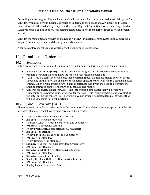Depending on the program, Region 3 may need multiple rooms for concurrent sessions on Friday and/or Saturday. Work closely with Region 3 Director to understand their space and A/V needs, and to keep them informed of the availability of space at the venue. Region 3 Committee business meeting is held on Sunday morning, ending at noon. This meeting takes place in one room, large enough to hold all region attendees.

Saturday morning often starts with an Eta Kappa Nu (HKN) Induction ceremony. On Sunday morning a Region 3 Committee is held, and the program ends at noon.

A sample conference schedule is available on the Conference Google Drive.

# <span id="page-17-0"></span>10. Running the Conference

### <span id="page-17-1"></span>10.1. Semantics

When dealing with a hotel venue, it is important to understand the terminology and semantics used.

- Banquet Event Order (BEO) This is a document that gives the direction to the hotel and A/V vendors describing when and how the function space should be laid out.
- Turn This is a term used to indicate that a function space layout must change between events. Depending on the size of the change to the function space, the turn will require a certain amount of time. When a room must be turned, it is important to work with the hotel to determine the amount of time to complete the turn and schedule accordingly.
- Conference Services Manager (CSM) This is the person at the hotel that will actually be responsible for executing your conference for the hotel. This will be primary point of contact at the hotel during the conference. The venue may also assign a dedicated Banquet Manager that will be responsible for meal functions.

### <span id="page-17-2"></span>10.2. Food & Beverage (F&B)

The conference normally provides meals at the conference. The conference normally provides full-paid attendees all meals. The following meals are normally provided:

- Thursday Breakfast (if needed for tutorials)
- AM Break (if needed for tutorials)
- Thursday Lunch (if needed for tutorials and volunteers)
- PM Break (if needed for tutorials)
- Friday Breakfast (full-paid attendees & volunteers)
- AM Break (all attendees)
- Friday Lunch (full-paid attendees & volunteers)
- PM Break (all attendees)
- Friday Reception (all attendees)
- Saturday Breakfast (full-paid attendees & volunteers)
- AM Break (all attendees)
- Saturday Lunch (full-paid attendees & volunteers)
- PM Break (all attendees)
- Saturday Banquet (all attendees)
- Sunday Breakfast (full-paid attendees & volunteers)
- AM Break (all attendees)
- Sunday Lunch (Conference Debrief)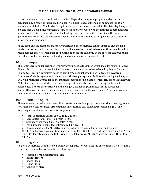It is recommended to host hot breakfast buffets. Depending on type of property under contract, breakfast may already be included. For lunch, it is usual to have either a deli buffet, box lunch, or soup/sandwich buffet. The Friday Reception is a heavy hors d'oeuvres buffet. The Saturday Banquet is a plated meal. Be mindful of special dietary needs and try to work with the facilities to accommodate special needs. It is recommended that the hosting conference committee coordinate the meal guarantees for each meal function with Region 3 Conference Committee for guidance based on prior knowledge and experience.

As students and life members are heavily subsidized, the conference cannot afford to give them all meals. Unless the conference receives contributions to offset the added costs for these members, it is recommended that you work out a cash lunch option for the students. In the past, the conference has provided a hot line with burgers, hot dogs, and other items at a reasonable cost.

### <span id="page-18-0"></span>10.3. Banquet

The conference banquet occurs on Saturday evening at SoutheastCon which includes formal sit-down dinner. As part of the banquet, Region 3 Awards are made to awardees selected by Region 3 Awards Committee. Hosting committee needs to coordinate banquet schedule with Region 3's Awards Committee Chair for agenda and publication of the banquet agenda. Additionally, during the banquet, SAC will present its awards for all the student competitions held at the conference. Since SoutheastCon 2008, final round of the student Hardware competition has also been held during the banquet ceremonies. Prior to the conclusion of the banquet, the hosting Committee for the subsequent SouthestCon will introduce the upcoming city and conference to the participants. Time and space needs to be allocated on the schedule to accommodate these activities.

### <span id="page-18-1"></span>10.4. Function Space

The conference normally requires exhibit space for the student program competitions, meeting rooms for region meetings, technical presentations, and tutorials, and banquet/reception hall $(s)$ . The following are minimum function space requirements:

- Total Conference Space:  $25,000$  ft<sup>2</sup> (2,325 m<sup>2</sup>)
- Largest Ballroom Size:  $10,000$  ft<sup>2</sup> (930 m<sup>2</sup>)
- Secondary Ballroom Size:  $7,500$  ft<sup>2</sup> (700 m<sup>2</sup>)
- Peak Breakout Rooms (w/Ballrooms all divided): 20

● Accommodations for MOVE truck access adjacent to venue for parking and training NOTE: The hardware competition space needs  $7,000 - 10,000$  ft<sup>2</sup> of dedicated space starting Noon Thursday for setup and open 8:00 Friday – 16:00 Saturday. MOVE Truck is 32' long x 10' wide x 13'4" high.

### <span id="page-18-2"></span>10.5. Registration

Region 3 Conference Committee will supply the logistics for operating the onsite registration. Region 3 Conference Committee will supply the following:

- Training for the Registration Team
- Badge Printers
- Badge Stock
- Ticket Stock
- Generic Printers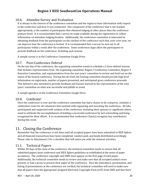### <span id="page-19-0"></span>10.6. Attendee Survey and Evaluation

It is always in the interest of the conference committee and the region to have information with respect to the conference and how it was conducted. One component of the conference that is not tracked appropriately, is the number of participants that obtained lodging at other places than the conference primary hotel. It is recommended that a survey be made available during the registration to collect information on attendees lodging location. Additionally, the conference committee is interested in obtaining feedback from the participants on the conduct of the conference such that, year-over-year, we can improve how the conference is hosted. It is recommended that a survey be sent out to all participants within a week after the conference. Some conference Apps allow the participants to provide feedback on the conference, including each session.

A sample survey is in the Conference Committee Google Drive.

### <span id="page-19-1"></span>10.7. Post-Conference Debrief

On the last day of the conference, the organizing committee needs to schedule a 2-hour debrief session that includes representation from the organizing committee, Region 3 Conference Committee, Region 3 Executive Committee, and representatives from the next years' committee to review and brief out on the status of the hosted conference. During this de-brief, the hosting committee should provide high level information on registrants, number of papers presented, and anticipated gross conference proceeds. This debrief is also intended to provide feedback and lessons learned to the representative of the next years' committee on what was successful and pitfalls to avoid.

A sample agenda is in the Conference Committee Google Drive.

### <span id="page-19-2"></span>10.8. Celebrate!

Once the conference is over and the conference committee has had a chance to de-compress, schedule a celebration event for all volunteers that assisted with organizing and executing the conference. All who participated and supported with conduct of the conference, including their spouses or significant others, need to celebrate the accomplishment of holding a successful conference by just networking and being recognized for their efforts. It is recommended that conference Chair(s) recognize key contributors during this event.

# <span id="page-19-3"></span>11. Closing the Conference

Remember that the conference is not done until all accepted papers have been submitted to IEEE Xplore and all financial transactions have been completed, vendors paid, and funds distributed accordingly. Please refer to Attachment 2 for a checklist that will assist you with the closeout activities.

### <span id="page-19-4"></span>11.1. Technical Papers

Within 30-days of the close of the conference, the technical committee needs to ensure that all submitted papers meet conference and IEEE Xplore guidelines as established at the onset of paper acceptance. The conference copyright and ISBN must appear on the first page of each paper. Additionally, the technical committee needs to review and make sure that all accepted authors were present, or had a proxy to present their paper at the conference. Once the attendance, presentation, and listing of presentations at the conference are verified, the technical committee will need to make sure that all papers have the appropriate assigned Electronic Copyright Form (eCF) from IEEE and that there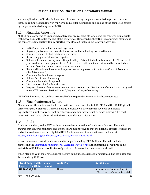are no duplications. eCFs should have been obtained during the papers submission process, but the technical committee needs to verify prior to request for submission and upload of the completed papers by the paper submission system (X-CD).

### <span id="page-20-0"></span>11.2. Financial Reporting

All IEEE sponsored and co-sponsored conferences are responsible for closing the conference financials within twelve months after the end of the conference. However, SoutheastCon recommends closing out the conference financials within **6-months**. The closeout includes the following activities:

- In NetSuite, enter all income and expenses
- Repay any advances and loans to the region and local hosting Section/Council
- Complete payment of all outstanding invoices
- Resolve any potential invoice disputes
- Submit schedule of tax payments (if applicable). This will include submission of 1099 forms. If your conference made payments to US citizens, or resident aliens, that would be classified as income. Do not include expense reimbursements.
- Review allocation of income and expenses according to correct conference Chart of Accounts (See Attachment 1)
- Complete the final financial report.
- Submit Certificate of Accuracy.
- Complete the audit, if required
- Distribute surplus funds and assets.
- Request closeout of conference concentration account and distribution of funds based on agreed upon MOU between Section/Council, Region, and any other entity.

IEEE officially closes the conference once all of the required information has been submitted.

### <span id="page-20-1"></span>11.3. Final Conference Report

At a minimum, the conference final report will need to be provided to IEEE MCE and the IEEE Region 3 Director as part of closeout. This will include a breakdown of conference revenue, conference expenditures, number of registrant by category, and other income such as contributions. This final report will need to be submitted with the financial closeout information.

### <span id="page-20-2"></span>11.4. Audit

Conference audits provide IEEE with an independent evaluation of conference finances. The audit ensures that conference income and expenses are monitored, and that the financial reports issued at the end of the conference are fair. Updated IEEE Conference Audit information can be found at [https://www.ieee.org/conferences/organizers/finance-audits.html.](https://www.ieee.org/conferences/organizers/finance-audits.html) 

It is recommended that all conference audits be performed by IEEE Auditors. This will include completing th[e Conference Audit Material Checklist \(PDF, 59 KB\)](https://www.ieee.org/content/dam/ieee-org/ieee/web/org/conferences/conference-audit-material-checklist.pdf) and submitting all required audit materials to IEEE Conference Business Operations. Be aware that conference audit will

When planning your conference budget, be sure to include an estimate for audit fees. The estimated fees for an audit by IEEE are:

| Total Budgeted Revenue or<br><b>Expense Fee (Before Loans)</b> | <b>Audit Fee</b> | <b>Audit Scope</b>                                              |
|----------------------------------------------------------------|------------------|-----------------------------------------------------------------|
| US \$0-\$99,999                                                | None             | A representative sampling of<br>10% of the conference financial |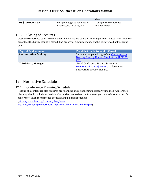|                   |                                                | data                   |
|-------------------|------------------------------------------------|------------------------|
| US \$100,000 & up | 0.6% of budgeted revenue or                    | 100% of the conference |
|                   | $^{\circ}$ expense, up to US\$6,000 $^{\circ}$ | financial data         |

### <span id="page-21-0"></span>11.5. Closing of Accounts

Close the conference bank accounts after all invoices are paid and any surplus distributed. IEEE requires proof that the bank account is closed. The proof you submit depends on the conference bank account type.

| <b>Type of Bank Account</b>  | <b>Proof that Bank Account is Closed</b>                                                           |
|------------------------------|----------------------------------------------------------------------------------------------------|
| <b>Concentration Banking</b> | Submit a completed copy of the Concentration<br><b>Banking Destroy Unused Checks form (PDF, 23</b> |
|                              | KB                                                                                                 |
| <b>Third-Party Manager</b>   | Email Conference Finance Services at                                                               |
|                              | conference-finance@ieee.org to determine                                                           |
|                              | appropriate proof of closure.                                                                      |

# <span id="page-21-1"></span>12. Normative Schedule

# <span id="page-21-2"></span>12.1. Conference Planning Schedule

Hosting of a conference also requires pre-planning and establishing necessary timelines. Conference planning should include a schedule of activities that assists conference organizers to host a successful conference. IEEE recommends the following planning schedule

[\(https://www.ieee.org/content/dam/ieee-](https://www.ieee.org/content/dam/ieee-org/ieee/web/org/conferences/high_level_conference_timeline.pdf)

[org/ieee/web/org/conferences/high\\_level\\_conference\\_timeline.pdf\)](https://www.ieee.org/content/dam/ieee-org/ieee/web/org/conferences/high_level_conference_timeline.pdf):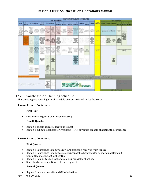|                                                                                                                                           |                           |                                                                                                                                                        |                                                                                                                                                                      |                                                                                                                                                        |                                                                                                                                                                        |                                                                                                                         |                                                                                                                                                                                     |                                                                                                 | <b>CONFERENCE TIMELINE - GUIDELINES</b>                                                                          |                                                                                                                                            |                                                                                                              |                                                                                                                       |                                                                                                        |                                                                                                                                                                                                                                                                                      |                                                                                                       |                                                                                                 |                                               |                                                                                                                 |                                                                                                     |                          |
|-------------------------------------------------------------------------------------------------------------------------------------------|---------------------------|--------------------------------------------------------------------------------------------------------------------------------------------------------|----------------------------------------------------------------------------------------------------------------------------------------------------------------------|--------------------------------------------------------------------------------------------------------------------------------------------------------|------------------------------------------------------------------------------------------------------------------------------------------------------------------------|-------------------------------------------------------------------------------------------------------------------------|-------------------------------------------------------------------------------------------------------------------------------------------------------------------------------------|-------------------------------------------------------------------------------------------------|------------------------------------------------------------------------------------------------------------------|--------------------------------------------------------------------------------------------------------------------------------------------|--------------------------------------------------------------------------------------------------------------|-----------------------------------------------------------------------------------------------------------------------|--------------------------------------------------------------------------------------------------------|--------------------------------------------------------------------------------------------------------------------------------------------------------------------------------------------------------------------------------------------------------------------------------------|-------------------------------------------------------------------------------------------------------|-------------------------------------------------------------------------------------------------|-----------------------------------------------|-----------------------------------------------------------------------------------------------------------------|-----------------------------------------------------------------------------------------------------|--------------------------|
|                                                                                                                                           |                           |                                                                                                                                                        |                                                                                                                                                                      |                                                                                                                                                        |                                                                                                                                                                        |                                                                                                                         | <b>PRE-CONFERENCE</b>                                                                                                                                                               |                                                                                                 |                                                                                                                  |                                                                                                                                            |                                                                                                              |                                                                                                                       |                                                                                                        |                                                                                                                                                                                                                                                                                      |                                                                                                       |                                                                                                 |                                               | POST - COMFITMENT                                                                                               |                                                                                                     |                          |
| <b>START</b>                                                                                                                              | 244<br>MONTHS             |                                                                                                                                                        | 24 - 18 MONTHS                                                                                                                                                       | 18:15<br>MONTHS                                                                                                                                        |                                                                                                                                                                        | 15-12 MONTHS                                                                                                            | 12.19<br><b>MONTHS</b>                                                                                                                                                              | $-1$<br><b>MONTHS</b>                                                                           | $8 - 4$<br><b>MONTHS</b>                                                                                         | 413<br><b>MONTHS</b>                                                                                                                       | 2 NICENTHS                                                                                                   | $8 - 4$<br>WEEKS                                                                                                      | 2 DAYS                                                                                                 | <b>HOLD</b><br><b>CONFERENCE</b>                                                                                                                                                                                                                                                     | <b>Library</b>                                                                                        |                                                                                                 | <b><i>AMERICA I METRICI</i></b>               | <b>MALINTYPE</b>                                                                                                | по<br><b>MONTHS</b>                                                                                 | sun a<br><b>MOONT IT</b> |
| <b>Superior Li</b><br>renty har<br>www.kip<br><b>Busit</b><br><b>25 auch unter</b><br>TIT ambat<br>ran.itti<br><b>Paintered</b><br>MELCAT | <b>Hisrik</b><br>Announce | <b><i><u>Ang-hiers pour</u></i></b><br>ristéhricos<br><b>Jacket</b><br>Divisioning<br><b>Application</b><br><b>AMERICANS</b><br><b>MOU</b>             | Union 1973<br><b>Inche shass</b><br><b>Billie stripped mode</b><br>School.                                                                                           | <b>Bookly</b><br>sensing a car property<br>plan masked to<br>ananabulo and<br><b>Jordenson</b><br>avenue                                               | <b>United pages</b><br><b>MAXIMATA'S</b><br>project of<br><b>March 6 Street</b><br>laster.                                                                             | desados<br><b>NICROSCAF</b><br>proprietti<br>essitist<br><b>MAN</b><br>AUDIOISSANT<br>promotive and<br><b>Kouldinas</b> | <b><i><u>Sidewald</u>i</i></b><br>the paper.<br>silonism.<br><b>Industrial Anti-</b><br><b>Walnuted</b><br>primately.<br><b>Flashinder</b>                                          | <b>Reveal</b><br><b>ATTEN</b><br>Infour pesspon<br>If INVESTIGAT                                | <b>Class planning against</b><br><b>Index proses</b><br><b>WARNTHOTING</b><br>pringing and<br><b>INFORMATION</b> | 584803.694<br>printerings.<br>amakuttaan<br><b>INVOLV</b><br><b>Bawir Sir</b><br><b><i><u>STARTED BARRAS</u></i></b>                       | <b>Bankers Frank</b><br>Modi with hone<br><b>GARD</b><br>diamiese<br>cars controllers.                       | <b>Ingelbau Fox</b><br>erti naimiran                                                                                  | DATION<br>este basis i<br>self-sertal                                                                  | <b>DOM:</b><br><b>Barness</b>                                                                                                                                                                                                                                                        |                                                                                                       | <b>Sale at Conference Presentings Towers</b><br>(Tylers) (2) and release tools equations (2) at |                                               | <b>DE ANGELIA</b><br><b>AUGUST</b>                                                                              | <b>REACHA CALL</b><br><b>Mark Ro. 3 Friday</b><br>FEED M.<br><b>Build required</b><br>De vidas dis- |                          |
|                                                                                                                                           |                           | <b>Laws</b><br><b>Incidental</b><br>immultipe fot<br>and what<br><b>National Property</b><br><b>Ancionhareas a</b><br>Sceneri,<br><b>Clark service</b> | <b>Justavi</b><br>Explorat<br>Publicator<br><b>Auto</b><br><b>Biometer</b> (with a<br>٠<br><b>All qualified</b><br><b>ADAL H</b><br>public streng week<br><b>ART</b> | <b>Ter II And Jan II Tod</b><br>programs for a program<br>sibility - Houston need<br>and double.<br>adda.sr<br>perspared.<br>Fugation                  | Transferência<br>LE for Papirs<br>WHAT                                                                                                                                 | Spites<br><b>Isaberring</b><br><b>WEBSITER</b><br><b>CALLA</b> Tel & Johns<br>TIP od harrowing                          | 19881<br>prehistory<br>Documbus<br>1102 Ohio co.<br><b>Instantial Busi</b><br>minition wing<br>0.5493                                                                               | be two 800<br>Signall<br><b>War laster linked</b><br>and lasked<br>service.<br><b>Pagebrake</b> | <b>COSTANDIAN</b><br>charm propint<br>all Leet fores sat<br>$+0.01$                                              | <b>Delay packet cars</b><br>plant autors<br><b>SOAPATE</b><br>art/er.<br>per la sarany (dram                                               | they lead<br>anano.<br>Freeholvs.<br>publicity.<br>ad equivole<br>newter                                     | direkia krozly<br>askullio al Annio Int<br>stanlingbrief right<br><b>Heler navigir</b><br>aid kenight for<br>antikers | Service:<br><b>Highly@der</b><br>pes, salán<br>rents.<br>el bendalen.<br><b>Bank R.</b><br>office case | Margaret 19<br><b>Bungai</b>                                                                                                                                                                                                                                                         | Exterior<br><b>Auridad</b><br><b>Indiana</b><br><b>Boll Javide</b><br>and buying<br><b>Busine Mid</b> | Engineering<br>Harry P<br><b>RASH FROM</b><br><b>FRANKEL JOE</b><br>Automobile dealer           | Home.<br>ordination.<br>batt.                 | <b>Glass</b><br><i>inspector</i><br><b>AAN AVANT</b><br><b>Johnet actual st</b><br><b>MONARCHIVER</b>           | <b><i>DOMESTIC</i></b><br>and budgeton<br>barative se-<br><b>AMARINE</b><br><b>Highlight</b>        |                          |
|                                                                                                                                           |                           | New City<br>douband<br><b>USHFEN</b><br>protessence<br>F allocated<br>cover but in<br>moved                                                            | Wagness Ltd.<br><b>EN CRILINAT MORE</b><br><b><i>CONTRACTOR</i></b><br>poye<br>and condition<br><b><i>Info. experient</i></b><br>34,992                              | <b>MARINE DIRECT</b><br>to smountered<br>WriteHott,<br>Collegebra (efecte)<br><b>Instrument (et)</b><br><b>Industry St</b><br>lays at<br>and presentar | 100822-009<br>attracted first<br><b><i>US LOS BOTAS</i></b><br>ptormient<br>goot as the<br>contents<br>sellate:                                                        | <b>Marini public</b><br><b>Enlementos</b><br>HATL.<br>perentian bi<br><b>Read Lind</b><br><b>preinter</b>               | <b>Futurishing</b><br>htgiddination<br><b>JRODAYS GRAD</b><br><b>HOLLAN</b><br><b><i><u>Institute</u></i></b><br>sander:<br>il Fleebant<br><b>Civil testulary</b><br>(A)) introduce | Guid<br>realships and                                                                           | <b>SHOPPED</b><br>miterium<br><b>Labelai</b><br>mit #<br><b>Japanese</b><br>f applicable                         | letrate naukk<br><b>Hand Lines</b><br><b>Earth and</b><br>more littak                                                                      | <b>Standing print</b><br><b>National Automobile</b><br>job harmlook and The Europeanet<br>details:<br>tends. | <b>Subsidies</b><br><b><i><u>Inden forester</u></i></b>                                                               |                                                                                                        | <b>Hook of Taylor</b><br><b>Stresser</b>                                                                                                                                                                                                                                             |                                                                                                       |                                                                                                 |                                               |                                                                                                                 | button (that document paint with threshoem)<br>of Accoming                                          |                          |
|                                                                                                                                           |                           | <b>Randall</b> Late<br>programma in<br>project (ii) pod<br>imintensité<br>claryháriat<br><b>Ware 601</b>                                               | <b>INFORMATION</b><br><b>HONGHAIN</b><br><b>Exhibition</b>                                                                                                           | Angle for geneti<br>Tel: refferance Apr<br><b>SUBBLICK</b>                                                                                             | <b>Juliett</b><br><b>Josefan wins Jan</b><br><b>Insiget with</b><br>which<br>993 DE<br><b>November</b><br>$39 -$<br>Indianates<br>mine                                 | <b>Franklin</b><br><b><i><u><i><u>AMBRIDGER</u></i></u></i></b><br><b>Bald</b><br>my moklich                            |                                                                                                                                                                                     |                                                                                                 |                                                                                                                  | <b>Chase les cont</b><br><b>JAVANIA Str</b><br>plan a bon of<br><b>Joseph Wright</b><br>aideann a<br>sector of<br>disclosed<br><b>Stud</b> | <b>Geralis scenare</b><br>(Well a ghock).<br><b>Norther's Avenue</b><br>preposi-<br><b>Koriki zaspilan</b> o | 1842 1910<br>printed with 14<br>paintings on this                                                                     |                                                                                                        | <b>AMP</b><br><b><i><u>SA Engineera</u></i></b><br><b>Street of Money</b>                                                                                                                                                                                                            |                                                                                                       |                                                                                                 | <b>Submit</b><br>· Paul:<br>dogwenn<br>firms! |                                                                                                                 |                                                                                                     |                          |
|                                                                                                                                           |                           | diams:<br>an Astron<br><b><i>MOETHERS</i></b><br><b><i>STREET</i></b><br>Fixebuller                                                                    | IN CARLES<br>and specifical<br>money, it<br>1ap/indels                                                                                                               |                                                                                                                                                        | <b>Juleen</b><br>Prima Ballet up<br><b>Brookers</b><br><b>DAKO</b><br>Drawbyton<br>Griffurrand<br>Confirm of<br><b><i>URSANY</i></b><br><b>Dokum</b><br><b>AMERICE</b> | <b>Inches</b><br><b>MARINE</b><br><b>UNIVERN SIL</b>                                                                    |                                                                                                                                                                                     |                                                                                                 |                                                                                                                  |                                                                                                                                            |                                                                                                              |                                                                                                                       |                                                                                                        |                                                                                                                                                                                                                                                                                      |                                                                                                       |                                                                                                 |                                               |                                                                                                                 |                                                                                                     |                          |
|                                                                                                                                           |                           |                                                                                                                                                        |                                                                                                                                                                      |                                                                                                                                                        |                                                                                                                                                                        |                                                                                                                         |                                                                                                                                                                                     |                                                                                                 | <b>Resure on this projection for FOW ER, I has some</b>                                                          |                                                                                                                                            |                                                                                                              |                                                                                                                       |                                                                                                        | system, the used that condensing American Dubbelt the used their Condension Bustuarity Approaches AMT of each collected you for an inset purpose of<br>ANY & 2002 Chinkab of Agencies (No post than known Sikh of each post-for of potentials must in the statulars calculate post). |                                                                                                       |                                                                                                 |                                               |                                                                                                                 |                                                                                                     |                          |
|                                                                                                                                           |                           |                                                                                                                                                        |                                                                                                                                                                      |                                                                                                                                                        |                                                                                                                                                                        |                                                                                                                         |                                                                                                                                                                                     |                                                                                                 |                                                                                                                  |                                                                                                                                            | WASHINGTON AND THE STORY WAS STRUCKLY                                                                        |                                                                                                                       |                                                                                                        | tested amount sport or foreign look proceeds to AVI Tex legal. The term state supports for it pays for all pop-more mode to the periodics colorate year.)                                                                                                                            |                                                                                                       |                                                                                                 |                                               |                                                                                                                 |                                                                                                     |                          |
|                                                                                                                                           |                           |                                                                                                                                                        |                                                                                                                                                                      | WITE You knowled in themelos and for planning purposes only. Each contented                                                                            | Permanent 1<br>$-40.96$<br>askia<br>акодиску<br>at material place<br>1 mail color A.A.<br>Replicable                                                                   | George and<br><b>Liter Tool Finds</b><br><b>Painting came</b><br>retire in Made                                         |                                                                                                                                                                                     |                                                                                                 | <b>IEEE MEETINGS, Q</b><br><b>CONFERENCES CEVENTS</b>                                                            | powered by                                                                                                                                 |                                                                                                              |                                                                                                                       |                                                                                                        |                                                                                                                                                                                                                                                                                      |                                                                                                       |                                                                                                 |                                               | <b>Hollado</b><br>,,,,,,,,,<br><b><i><u>PERMITTEN COMPANY</u></i></b><br><b><i><u>PERSONAL PROPERTY</u></i></b> |                                                                                                     |                          |
|                                                                                                                                           |                           |                                                                                                                                                        |                                                                                                                                                                      |                                                                                                                                                        |                                                                                                                                                                        |                                                                                                                         | PRE - CONFERENCE                                                                                                                                                                    |                                                                                                 |                                                                                                                  |                                                                                                                                            |                                                                                                              |                                                                                                                       |                                                                                                        |                                                                                                                                                                                                                                                                                      |                                                                                                       |                                                                                                 |                                               | <b>POST - CONFERENCE</b>                                                                                        |                                                                                                     |                          |

### <span id="page-22-0"></span>12.2. SoutheastCon Planning Schedule

This section gives you a high-level schedule of events related to SoutheastCon.

### **4 Years Prior to Conference**

### **First Half**

● OUs inform Region 3 of interest in hosting

### **Fourth Quarter**

- Region 3 selects at least 3 locations to host
- Region 3 submits Requests for Proposals (RFP) to venues capable of hosting the conference

### **3 Years Prior to Conference**

#### **First Quarter**

- Region 3 Conference Committee reviews proposals received from venues
- Region 3 Conference Committee selects proposal to be presented as motion at Region 3 Committee meeting at SoutheastCon
- Region 3 Committee reviews and selects proposal for host site
- Start Hardware competition rule development

### **Second Quarter**

● Region 3 informs host site and OU of selection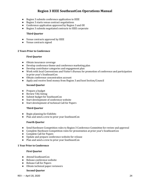- Region 3 submits conference application to IEEE
- Region 3 starts venue contract negotiations
- Conference application approved by Region 3 and OU
- Region 3 submits negotiated contracts to IEEE corporate

#### **Third Quarter**

- Venue contracts approved by IEEE
- Venue contracts signed

#### **2 Years Prior to Conference**

#### **First Quarter**

- Obtain insurance coverage
- Develop conference theme and conference marketing plan
- Develop contributor categories and engagement plan
- Work with local Conventions and Visitor's Bureau for promotion of conference and participation in prior year's SoutheastCon
- Obtain conference concentration account
- Apply and receive Seed money from Region 3 and host Section/Council

#### **Second Quarter**

- Prepare a budget
- Review TAG listing
- Submit budget for SoutheastCon
- Start development of conference website
- Start development of technical Call for Papers

#### **Third Quarter**

- Begin planning for Exhibits
- Plan and send a crew to prior year SoutheastCon

#### **Fourth Quarter**

- Send Hardware Competition rules to Region 3 Conference Committee for review and approval
- Complete Hardware Competition rules for presentation at prior year's SoutheastCon
- Complete Call for Papers
- Update and prepare conference website for release
- Plan and send a crew to prior year SoutheastCon

#### **1 Year Prior to Conference**

#### **First Quarter**

- Attend SoutheastCon
- Release conference website
- Release Call for Papers
- Obtain technical paper reviewers

#### **Second Quarter**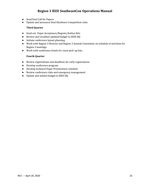- Send final Call for Papers
- Update and announce final Hardware Competition rules

#### **Third Quarter**

- Send out Paper Acceptance/Regrets/Author Kits
- Review and resubmit updated budget to IEEE HQ
- Initiate conference layout planning
- Work with Region 3 Director and Region 3 Awards Committee on schedule of activities for Region 3 meetings
- Work with conference hotels for room pick-up lists

### **Fourth Quarter**

- Review registrations and deadlines for early registrations
- Develop conference program
- Develop technical Paper Presentation schedule
- Review conference risks and emergency management
- Update and submit budget to IEEE HQ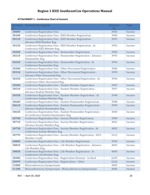### **ATTACHMENT 1 – Conference Chart of Account**

|       | <b>Account</b> Account Description                                                             | <b>Internal</b> | <b>Type</b> |
|-------|------------------------------------------------------------------------------------------------|-----------------|-------------|
| $\#$  |                                                                                                | ID              |             |
| 30000 | <b>Conference Registration Fees</b>                                                            | 3983            | Income      |
| 30100 | <b>Conference Registration Fees: IEEE Member Registration</b>                                  | 3984            | Income      |
| 30110 | Conference Registration Fees : IEEE Member Registration :                                      | 3991            | Income      |
|       | Advance IEEE Member Reg.                                                                       |                 |             |
| 30150 | Conference Registration Fees : IEEE Member Registration : At<br>Conference IEEE Member Reg.    | 3992            | Income      |
| 30200 | Conference Registration Fees: Nonmember Registration                                           | 3985            | Income      |
| 30210 | Conference Registration Fees: Nonmember Registration: Advance                                  | 3993            | Income      |
|       | Nonmember Reg.                                                                                 |                 |             |
| 30250 | Conference Registration Fees: Nonmember Registration: At                                       | 3994            | Income      |
|       | Conference Nonmember Reg.                                                                      |                 |             |
| 30300 | Conference Registration Fees: Other Discounted Registration                                    | 3986            | Income      |
| 30310 | Conference Registration Fees : Other Discounted Registration :                                 | 3995            | Income      |
|       | Advance Other Discounted Reg.                                                                  |                 |             |
| 30350 | Conference Registration Fees: Other Discounted Registration: At                                | 3996            | Income      |
|       | Conference Other Discounted Reg.                                                               |                 |             |
| 30500 | Conference Registration Fees : Student Member Registration                                     | 3987            | Income      |
| 30510 | Conference Registration Fees : Student Member Registration :<br>Advance Student Member Reg.    | 3997            | Income      |
| 30550 | Conference Registration Fees: Student Member Registration: At                                  | 3998            | Income      |
|       | Conference Student Member Reg.                                                                 |                 |             |
| 30600 | Conference Registration Fees: Student Nonmember Registration                                   | 3988            | Income      |
| 30610 | Conference Registration Fees : Student Nonmember Registration :                                | 3999            | Income      |
|       | Advance Student Nonmember Reg.                                                                 |                 |             |
| 30650 | Conference Registration Fees : Student Nonmember Registration :                                | 4000            | Income      |
|       | At Conference Student Nonmember Reg.                                                           |                 |             |
| 30700 | Conference Registration Fees : Society Member Registration                                     | 3989            | Income      |
| 30710 | Conference Registration Fees : Society Member Registration :                                   | 4001            | Income      |
| 30750 | Advance Society Member Reg.<br>Conference Registration Fees : Society Member Registration : At | 4002            | Income      |
|       | <b>Conference Society Member Reg.</b>                                                          |                 |             |
| 30799 | Conference Registration Fees: Society Member Registration: SSCS                                | 5412            | Income      |
|       | Member Credit                                                                                  |                 |             |
| 30800 | Conference Registration Fees : Life Member Registration                                        | 3990            | Income      |
| 30810 | Conference Registration Fees : Life Member Registration : Advance                              | 4003            | Income      |
|       | Life Member Reg.                                                                               |                 |             |
| 30850 | Conference Registration Fees : Life Member Registration : At                                   | 4004            | Income      |
|       | Conference Life Member Reg.                                                                    |                 |             |
| 30900 | Conference Registration Fees : Registration Revenue - In-Kind                                  | 6295            | Income      |
| 30999 | Conference Registration Fees: Registrations - Other                                            | 6226            | Income      |
| 31000 | Miniconferences/Symposiums                                                                     | 4005            | Income      |
| 31100 | Miniconferences/Symposiums: Miniconferences/Symposiums                                         | 4006            | Income      |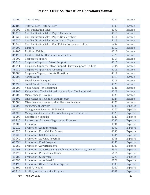| 32000 | <b>Tutorial Fees</b>                                          | 4007 | Income  |
|-------|---------------------------------------------------------------|------|---------|
| 32100 | <b>Tutorial Fees: Tutorial Fees</b>                           | 4008 | Income  |
| 33000 | <b>Conf Publication Sales</b>                                 | 4009 | Income  |
| 33010 | <b>Conf Publication Sales: Paper, Members</b>                 | 4010 | Income  |
| 33020 | <b>Conf Publication Sales: Paper, Non Members</b>             | 4011 | Income  |
| 33030 | <b>Conf Publication Sales: Other Media Types</b>              | 5413 | Income  |
| 33040 | Conf Publication Sales : Conf Publication Sales - In-Kind     | 6297 | Income  |
| 34000 | Exhibits                                                      | 4012 | Income  |
| 34100 | Exhibits : Exhibits                                           | 4013 | Income  |
| 34110 | Exhibits : Exhibit Booth Revenue, In-Kind                     | 5970 | Income  |
| 35000 | Corporate Support                                             | 4014 | Income  |
| 35010 | <b>Corporate Support: Patron Support</b>                      | 4015 | Income  |
| 35011 | Corporate Support : Patron Support : Patron Support - In-Kind | 6294 | Income  |
| 35020 | <b>Corporate Support: Advertising</b>                         | 4016 | Income  |
| 36000 | Corporate Support : Grants, Donation                          | 4017 | Income  |
| 37000 | <b>Social Event</b>                                           | 4018 | Income  |
| 37010 | Social Event: Banquet                                         | 4019 | Income  |
| 37030 | <b>Social Event: Other Events</b>                             | 4020 | Income  |
| 38000 | Value Added Tax Reclaimed                                     | 4021 | Income  |
| 38100 | Value Added Tax Reclaimed : Value Added Tax Reclaimed         | 4022 | Income  |
| 39000 | Miscellaneous Revenue                                         | 4023 | Income  |
| 39100 | Miscellaneous Revenue : Bank Interest                         | 4024 | Income  |
| 39200 | Miscellaneous Revenue : Miscellaneous Revenue                 | 4025 | Income  |
| 40000 | <b>Management Services</b>                                    | 4026 | Expense |
| 40010 | Management Services : IEEE MCM                                | 4027 | Expense |
| 40020 | Management Services : External Management Services            | 4028 | Expense |
| 40500 | <b>Registration Expense</b>                                   | 4029 | Expense |
| 40510 | Registration Expense : Registration Expense                   | 4030 | Expense |
| 41000 | Promotion                                                     | 4031 | Expense |
| 41010 | Promotion: Announcement                                       | 4032 | Expense |
| 41020 | <b>Promotion: First Call For Papers</b>                       | 4033 | Expense |
| 41030 | <b>Promotion: Call For Papers</b>                             | 4034 | Expense |
| 41040 | <b>Promotion: Advance Program</b>                             | 4035 | Expense |
| 41050 | <b>Promotion: Final Program</b>                               | 4036 | Expense |
| 41060 | <b>Promotion: Advertisements</b>                              | 4037 | Expense |
| 41061 | Promotion: Advertisements: Publication Advertising, In-Kind   | 5971 | Expense |
| 41070 | <b>Promotion: Promotional Items</b>                           | 5414 | Expense |
| 41080 | <b>Promotion: Giveaways</b>                                   | 6770 | Expense |
| 41090 | Promotion : Attendee Gifts                                    | 6771 | Expense |
| 41499 | <b>Promotion: Other Promotion Expense</b>                     | 4039 | Expense |
| 41500 | Exhibit/Vendor                                                | 4040 | Expense |
| 41510 | Exhibit/Vendor: Vendor Program                                | 4041 | Expense |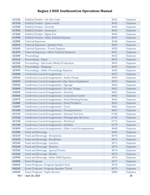| 41520 | Exhibit/Vendor: On-Site Costs                              | 4042 | Expense |
|-------|------------------------------------------------------------|------|---------|
| 41530 | Exhibit/Vendor: Space rental                               | 4043 | Expense |
| 41540 | Exhibit/Vendor: Security                                   | 4044 | Expense |
| 41550 | Exhibit/Vendor: Insurance                                  | 4045 | Expense |
| 41560 | Exhibit/Vendor: Mgmt Fee                                   | 4046 | Expense |
| 41999 | Exhibit/Vendor: Other Exhibit Expense                      | 4047 | Expense |
| 42000 | <b>Tutorial Expenses</b>                                   | 4048 | Expense |
| 42010 | <b>Tutorial Expenses: Speaker Fees</b>                     | 4049 | Expense |
| 42020 | <b>Tutorial Expenses: Travel Expense</b>                   | 4050 | Expense |
| 42499 | <b>Tutorial Expenses: Other Tutorial Expenses</b>          | 4051 | Expense |
| 42500 | Proceedings                                                | 4052 | Expense |
| 42510 | Proceedings : Paper                                        | 4053 | Expense |
| 42520 | Proceedings : Electronic Media Production                  | 4054 | Expense |
| 42530 | Proceedings: Shipping                                      | 4055 | Expense |
| 42999 | Proceedings: Other Proceedings Expense                     | 4056 | Expense |
| 43000 | <b>Conference Local Arrangements</b>                       | 4057 | Expense |
| 43010 | Conference Local Arrangements : Audio-Visual               | 4058 | Expense |
| 43020 | Conference Local Arrangements: Ops. Room Equipment         | 4059 | Expense |
| 43030 | Conference Local Arrangements : Signage                    | 4060 | Expense |
| 43040 | Conference Local Arrangements : On-site Temps              | 4061 | Expense |
| 43050 | <b>Conference Local Arrangements: Security</b>             | 4062 | Expense |
| 43060 | <b>Conference Local Arrangements: Convention Center</b>    | 4063 | Expense |
| 43070 | <b>Conference Local Arrangements: Hotel Meeting Rooms</b>  | 4064 | Expense |
| 43080 | <b>Conference Local Arrangements: Hotel Penalties</b>      | 4065 | Expense |
| 43090 | <b>Conference Local Arrangements: Tours</b>                | 4066 | Expense |
| 43100 | <b>Conference Local Arrangements: Transportation</b>       | 4067 | Expense |
| 43110 | Conference Local Arrangements : Internet Services          | 6768 | Expense |
| 43120 | <b>Conference Local Arrangements: Photography Services</b> | 6769 | Expense |
| 43130 | Conference Local Arrangements : Electrical                 | 6772 | Expense |
| 43140 | <b>Conference Local Arrangements: Exhibits</b>             | 6773 | Expense |
| 43499 | Conference Local Arrangements : Other Local Arrangements   | 4068 | Expense |
| 43500 | <b>Food and Beverage</b>                                   | 4069 | Expense |
| 43510 | Food and Beverage: Receptions                              | 4070 | Expense |
| 43520 | Food and Beverage: Breakfasts                              | 4071 | Expense |
| 43530 | Food and Beverage: Lunches                                 | 4072 | Expense |
| 43540 | Food and Beverage: Dinners                                 | 4073 | Expense |
| 43550 | Food and Beverage : Special Events                         | 4074 | Expense |
| 43560 | Food and Beverage: Breaks                                  | 4075 | Expense |
| 43999 | Food and Beverage: Other F&B Expense                       | 4076 | Expense |
| 44000 | <b>Event Program</b>                                       | 4077 | Expense |
| 44010 | Event Program : Program Speaker Fees                       | 4078 | Expense |
| 44020 | Event Program : Program Speaker Travel                     | 4079 | Expense |
| 44030 | <b>Event Program: Paper Review</b>                         | 4080 | Expense |
|       | REV - - April 20, 2020                                     |      | 28      |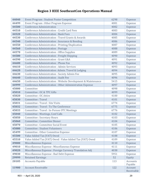| 44040 | <b>Event Program: Student Poster Competition</b>              | 6298 | Expense               |
|-------|---------------------------------------------------------------|------|-----------------------|
| 44499 | Event Program : Other Program Expense                         | 4081 | Expense               |
| 44500 | <b>Conference Administration</b>                              | 4082 | Expense               |
| 44510 | <b>Conference Administration: Credit Card Fees</b>            | 4083 | Expense               |
| 44520 | <b>Conference Administration: Bank Fees</b>                   | 4084 | Expense               |
| 44530 | Conference Administration: Travel Grants & Awards             | 4085 | Expense               |
| 44540 | Conference Administration : Insurance & Bonding               | 4086 | Expense               |
| 44550 | Conference Administration: Printing/Duplication               | 4087 | Expense               |
| 44560 | <b>Conference Administration: Postage</b>                     | 4088 | Expense               |
| 44570 | <b>Conference Administration : Office Supplies</b>            | 4089 | Expense               |
| 44580 | <b>Conference Administration: Freight Shipping</b>            | 4090 | Expense               |
| 44590 | Conference Administration: Grant G&A                          | 4091 | Expense               |
| 44600 | Conference Administration: Phone Fax                          | 4092 | Expense               |
| 44610 | Conference Administration: Admin Services                     | 4093 | Expense               |
| 44620 | Conference Administration: Admin. Travel & Lodging            | 4094 | Expense               |
| 44630 | Conference Administration : Society Admin Fee                 | 4095 | Expense               |
| 44640 | <b>Conference Administration: Audit Fee</b>                   | 4096 | Expense               |
| 44650 | Conference Administration : Website Development & Maintenance | 5415 | Expense               |
| 44999 | Conference Administration : Other Administration Expense      | 4097 | Expense               |
| 45000 | Committee                                                     | 4098 | Expense               |
| 45010 | Committee : OC & TPC Gifts                                    | 4099 | Expense               |
| 45020 | Committee: OC Attire                                          | 4100 | Expense               |
| 45030 | Committee : Travel                                            | 4101 | Expense               |
| 45031 | Committee: Travel: Site Visits                                | 6774 | Expense               |
| 45032 | Committee : Travel : To The Conference                        | 6775 | Expense               |
| 45033 | Committee: Travel: In-Person OTC Meetings                     | 6776 | Expense               |
| 45040 | <b>Committee: Meetings, Conf Calls</b>                        | 4102 | Expense               |
| 45050 | <b>Committee: Secretary Hours</b>                             | 4103 | Expense               |
| 45060 | Committee : Committee Dinner                                  | 4104 | Expense               |
| 45070 | Committee : Committee Social Event                            | 4105 | Expense               |
| 45080 | <b>Committee: Student Volunteers</b>                          | 4106 | Expense               |
| 45499 | Committee : Other Committee Expense                           | 4107 | Expense               |
| 45500 | Value Added Tax (VAT) Owed                                    | 4108 | Expense               |
| 45510 | Value Added Tax (VAT) Owed: Value Added Tax (VAT) Owed        | 4109 | Expense               |
| 49000 | Miscellaneous Expense                                         | 4110 | Expense               |
| 49010 | Miscellaneous Expense : Miscellaneous Expense                 | 4111 | Expense               |
| 49020 | Miscellaneous Expense : Foreign Currency Translation Adj      | 4038 | Expense               |
| 49030 | Miscellaneous Expense : Bad Debt Expense                      | 5951 | Expense               |
| 29999 | <b>Retained Earnings</b>                                      | 52   | Equity                |
| 20105 | <b>Accounts Payable</b>                                       | 113  | Accounts<br>Payable   |
| 11900 | <b>Account Receivable</b>                                     | 122  | Account<br>Receivable |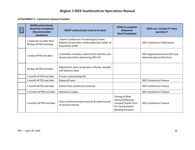**ATTACHMENT 2 – Conference Closeout Checklist** 

| 组 | <b>WHEN actions/tasks</b><br>should be completed<br>(Recommended<br><b>Deadlines)</b> | WHAT actions/tasks need to be done                                                                            | <b>HOW to complete</b><br>(Required<br>Docs/Templates)                                                           | WHO can I contact if I have<br>questions?                      |
|---|---------------------------------------------------------------------------------------|---------------------------------------------------------------------------------------------------------------|------------------------------------------------------------------------------------------------------------------|----------------------------------------------------------------|
|   | 1 week but no later than<br>30 days AFTER end date                                    | Submit Conference Proceedings/Content<br>(Xplore CD and other media types) per Letter of<br>Acquisition (LOA) |                                                                                                                  | <b>IEEE Conference Publications</b>                            |
|   | 1 week AFTER end date                                                                 | Committee members submit final statistics and<br>lessons learned to sponsoring IEEE OU                        |                                                                                                                  | IEEE organizational unit (OU) you<br>obtained sponsorship from |
|   | 20 days AFTER end date                                                                | Registration clean up (process refunds, receipts<br>and balances due)                                         |                                                                                                                  |                                                                |
|   | 1 month AFTER end date                                                                | Process outstanding bills                                                                                     |                                                                                                                  |                                                                |
|   | 1 month AFTER end date                                                                | Repay all loans                                                                                               |                                                                                                                  | <b>IEEE Conference Finance</b>                                 |
|   | 1 month AFTER end date                                                                | Submit Post-Conference forecast                                                                               |                                                                                                                  | <b>IEEE Conference Finance</b>                                 |
|   | 3 months AFTER end date                                                               | Distribute surplus                                                                                            |                                                                                                                  | <b>IEEE Conference Finance</b>                                 |
|   | 3 months AFTER end date                                                               | Close conference bank account & submit proof<br>of account closure                                            | Closing of Bank<br>Accounts/Destroy<br><b>Unused Checks Form</b><br>for Concentration<br><b>Banking Accounts</b> | <b>IEEE Conference Finance</b>                                 |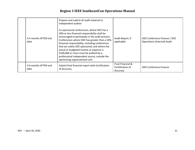| 4-5 months AFTER end<br>date | Prepare and submit all audit material to<br>independent auditor<br>Co-sponsored conferences, where IEEE has a<br>50% or less financial responsibility shall be<br>encouraged to participate in the audit process.<br>Conferences where IEEE has greater than a 50%<br>financial responsibility, including conferences<br>that are solely IEEE sponsored, and where the<br>actual or budgeted income or expense is<br>\$100,000 or more must be audited by a<br>professional independent source, outside the<br>sponsoring organizational unit. | Audit Report, if<br>applicable                    | IEEE Conference Finance / IEEE<br><b>Operations (Internal) Audit</b> |
|------------------------------|------------------------------------------------------------------------------------------------------------------------------------------------------------------------------------------------------------------------------------------------------------------------------------------------------------------------------------------------------------------------------------------------------------------------------------------------------------------------------------------------------------------------------------------------|---------------------------------------------------|----------------------------------------------------------------------|
| 3-6 months AFTER end<br>date | Submit final financial report with Certification<br>of Accuracy                                                                                                                                                                                                                                                                                                                                                                                                                                                                                | Final Financial &<br>Certification of<br>Accuracy | <b>IEEE Conference Finance</b>                                       |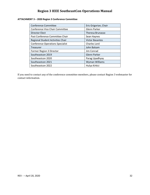### **ATTACHMENT 3 – 2020 Region 3 Conference Committee**

| <b>Conference Committee</b>             | Eric Grigorian, Chair  |  |
|-----------------------------------------|------------------------|--|
| Conference Vice Chair Committee         | Glenn Parker           |  |
| <b>Director Elect</b>                   | Theresa Brunasso       |  |
| Past Conference Committee Chair         | Sean Haynes            |  |
| Regional Student Activities Chair       | <b>Victor Basantes</b> |  |
| <b>Conference Operations Specialist</b> | Charles Lord           |  |
| <b>Treasurer</b>                        | John Balsam            |  |
| Former Region 3 Director                | Jim Conrad             |  |
| Southeastcon 2019                       | <b>Glenn Parker</b>    |  |
| Southeastcon 2020                       | Parag Upadhyay         |  |
| Southeastcon 2021                       | Wyman Williams         |  |
| Southeastcon 2022                       | Hulya Kirkici          |  |

If you need to contact any of the conference committee members, please contact Region 3 webmaster for contact information.